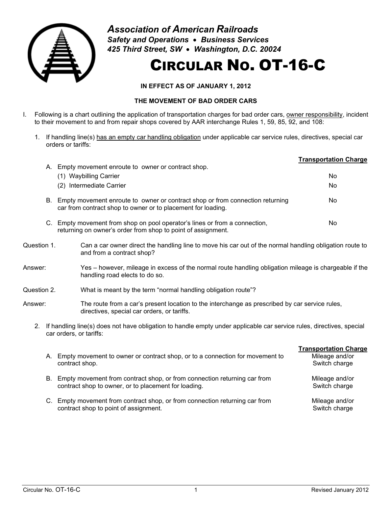

*Association of American Railroads Safety and Operations* • *Business Services 425 Third Street, SW* • *Washington, D.C. 20024*

## CIRCULAR NO. OT-16-C

**IN EFFECT AS OF JANUARY 1, 2012**

## **THE MOVEMENT OF BAD ORDER CARS**

- I. Following is a chart outlining the application of transportation charges for bad order cars, owner responsibility, incident to their movement to and from repair shops covered by AAR interchange Rules 1, 59, 85, 92, and 108:
	- 1. If handling line(s) has an empty car handling obligation under applicable car service rules, directives, special car orders or tariffs:

|    |                                                                                                                                               | <b>Transportation Charge</b> |
|----|-----------------------------------------------------------------------------------------------------------------------------------------------|------------------------------|
| А. | Empty movement enroute to owner or contract shop.<br><b>Waybilling Carrier</b><br>(1)<br>(2) Intermediate Carrier                             | No<br>No                     |
| В. | Empty movement enroute to owner or contract shop or from connection returning<br>car from contract shop to owner or to placement for loading. | No                           |
| C. | Empty movement from shop on pool operator's lines or from a connection,<br>returning on owner's order from shop to point of assignment.       | No                           |

- Question 1. Can a car owner direct the handling line to move his car out of the normal handling obligation route to and from a contract shop?
- Answer: Yes however, mileage in excess of the normal route handling obligation mileage is chargeable if the handling road elects to do so.
- Question 2. What is meant by the term "normal handling obligation route"?
- Answer: The route from a car's present location to the interchange as prescribed by car service rules, directives, special car orders, or tariffs.
	- 2. If handling line(s) does not have obligation to handle empty under applicable car service rules, directives, special car orders, or tariffs:
		- **Transportation Charge** A. Empty movement to owner or contract shop, or to a connection for movement to contract shop. Mileage and/or Switch charge B. Empty movement from contract shop, or from connection returning car from contract shop to owner, or to placement for loading. Mileage and/or Switch charge C. Empty movement from contract shop, or from connection returning car from contract shop to point of assignment. Mileage and/or Switch charge